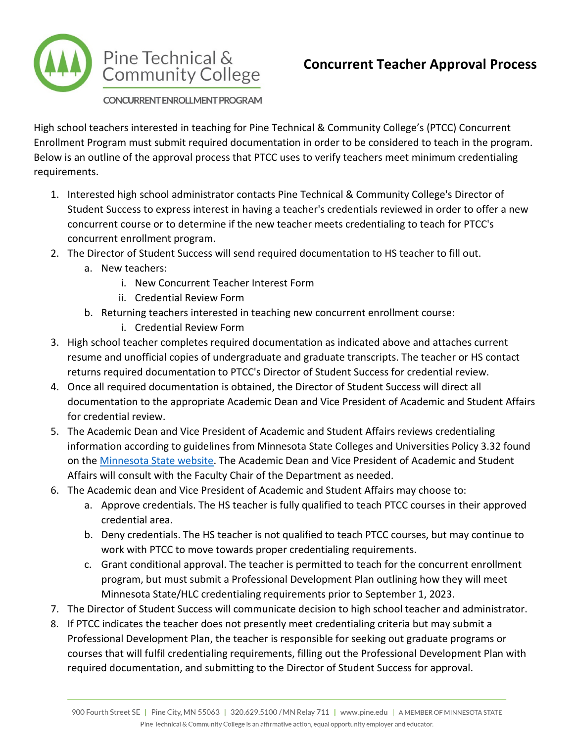

## **Concurrent Teacher Approval Process**

CONCURRENT ENROLLMENT PROGRAM

High school teachers interested in teaching for Pine Technical & Community College's (PTCC) Concurrent Enrollment Program must submit required documentation in order to be considered to teach in the program. Below is an outline of the approval process that PTCC uses to verify teachers meet minimum credentialing requirements.

- 1. Interested high school administrator contacts Pine Technical & Community College's Director of Student Success to express interest in having a teacher's credentials reviewed in order to offer a new concurrent course or to determine if the new teacher meets credentialing to teach for PTCC's concurrent enrollment program.
- 2. The Director of Student Success will send required documentation to HS teacher to fill out.
	- a. New teachers:
		- i. New Concurrent Teacher Interest Form
		- ii. Credential Review Form
	- b. Returning teachers interested in teaching new concurrent enrollment course:
		- i. Credential Review Form
- 3. High school teacher completes required documentation as indicated above and attaches current resume and unofficial copies of undergraduate and graduate transcripts. The teacher or HS contact returns required documentation to PTCC's Director of Student Success for credential review.
- 4. Once all required documentation is obtained, the Director of Student Success will direct all documentation to the appropriate Academic Dean and Vice President of Academic and Student Affairs for credential review.
- 5. The Academic Dean and Vice President of Academic and Student Affairs reviews credentialing information according to guidelines from Minnesota State Colleges and Universities Policy 3.32 found on the [Minnesota State website.](http://www.minnstate.edu/system/asa/academicaffairs/cfc/) The Academic Dean and Vice President of Academic and Student Affairs will consult with the Faculty Chair of the Department as needed.
- 6. The Academic dean and Vice President of Academic and Student Affairs may choose to:
	- a. Approve credentials. The HS teacher is fully qualified to teach PTCC courses in their approved credential area.
	- b. Deny credentials. The HS teacher is not qualified to teach PTCC courses, but may continue to work with PTCC to move towards proper credentialing requirements.
	- c. Grant conditional approval. The teacher is permitted to teach for the concurrent enrollment program, but must submit a Professional Development Plan outlining how they will meet Minnesota State/HLC credentialing requirements prior to September 1, 2023.
- 7. The Director of Student Success will communicate decision to high school teacher and administrator.
- 8. If PTCC indicates the teacher does not presently meet credentialing criteria but may submit a Professional Development Plan, the teacher is responsible for seeking out graduate programs or courses that will fulfil credentialing requirements, filling out the Professional Development Plan with required documentation, and submitting to the Director of Student Success for approval.